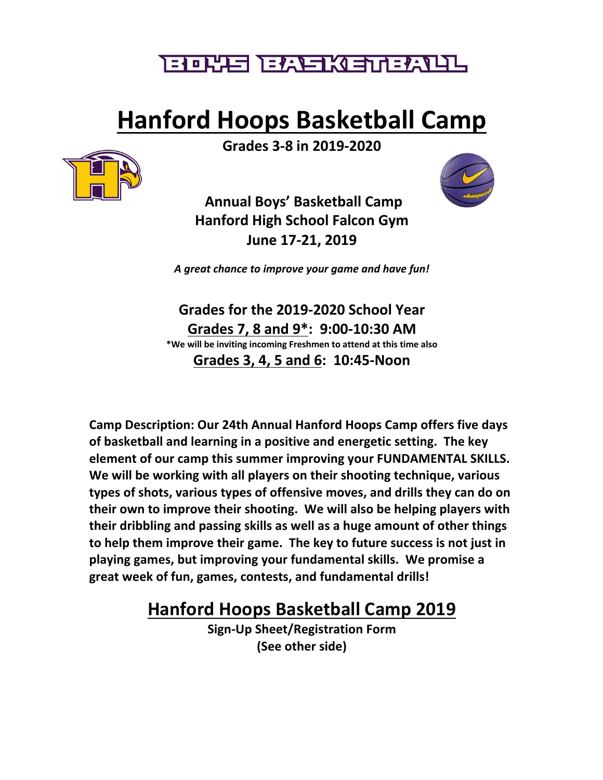## <u>゠゙゚゚゙゙゙゙゙゙゙゠ゖ゚゚ヿ゠ヿ゠ヂ゚゚ゟヿゟ゚゚゙ヹヿゖ゠ゕ゚ヺヿヿ</u>

# **Hanford Hoops Basketball Camp**



**Grades 3-8 in 2019-2020**

**Annual Boys' Basketball Camp Hanford High School Falcon Gym June 17-21, 2019**

*A great chance to improve your game and have fun!*

**Grades for the 2019-2020 School Year Grades 7, 8 and 9\*: 9:00-10:30 AM \*We will be inviting incoming Freshmen to attend at this time also Grades 3, 4, 5 and 6: 10:45-Noon**

**Camp Description: Our 24th Annual Hanford Hoops Camp offers five days of basketball and learning in a positive and energetic setting. The key element of our camp this summer improving your FUNDAMENTAL SKILLS. We will be working with all players on their shooting technique, various types of shots, various types of offensive moves, and drills they can do on their own to improve their shooting. We will also be helping players with their dribbling and passing skills as well as a huge amount of other things to help them improve their game. The key to future success is not just in playing games, but improving your fundamental skills. We promise a great week of fun, games, contests, and fundamental drills!**

## **Hanford Hoops Basketball Camp 2019**

**Sign-Up Sheet/Registration Form (See other side)**